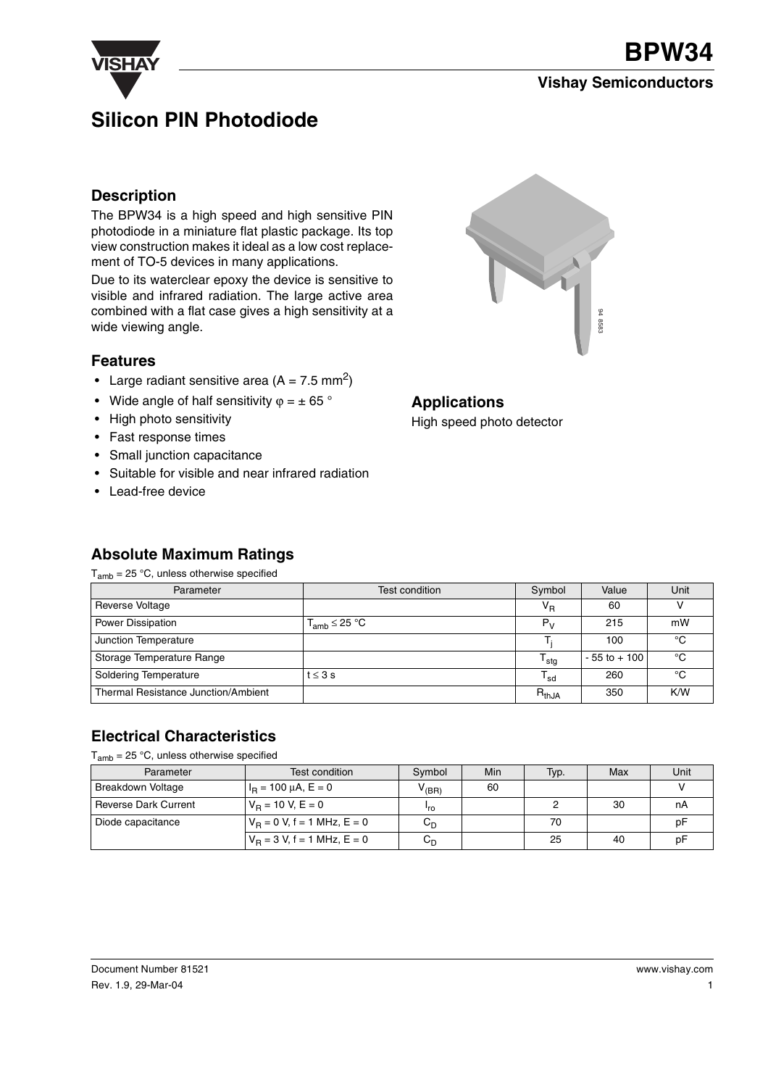

#### **Vishay Semiconductors**

# **Silicon PIN Photodiode**

#### **Description**

The BPW34 is a high speed and high sensitive PIN photodiode in a miniature flat plastic package. Its top view construction makes it ideal as a low cost replacement of TO-5 devices in many applications.

Due to its waterclear epoxy the device is sensitive to visible and infrared radiation. The large active area combined with a flat case gives a high sensitivity at a wide viewing angle.

#### **Features**

- Large radiant sensitive area  $(A = 7.5 \text{ mm}^2)$
- Wide angle of half sensitivity  $\varphi = \pm 65$  °
- High photo sensitivity
- Fast response times
- Small junction capacitance

**Absolute Maximum Ratings**

- Suitable for visible and near infrared radiation
- Lead-free device



#### **Applications**

High speed photo detector

| $T_{amb}$ = 25 °C, unless otherwise specified |                      |                     |                 |      |
|-----------------------------------------------|----------------------|---------------------|-----------------|------|
| Parameter                                     | Test condition       | Symbol              | Value           | Unit |
| Reverse Voltage                               |                      | V <sub>R</sub>      | 60              |      |
| Power Dissipation                             | $T_{amb} \leq 25 °C$ | $P_{V}$             | 215             | mW   |
| Junction Temperature                          |                      |                     | 100             | °C   |
| Storage Temperature Range                     |                      | ${\sf T}_{\sf stg}$ | $-55$ to $+100$ | °C   |
| <b>Soldering Temperature</b>                  | $t \leq 3$ s         | $T_{sd}$            | 260             | °C   |
| Thermal Resistance Junction/Ambient           |                      | $R_{th,JA}$         | 350             | K/W  |

#### **Electrical Characteristics**

 $T_{amb}$  = 25 °C, unless otherwise specified

| Parameter                   | Test condition                 | Symbol           | Min | Typ. | Max | Unit |
|-----------------------------|--------------------------------|------------------|-----|------|-----|------|
| <b>Breakdown Voltage</b>    | $I_B = 100 \mu A$ , $E = 0$    | $V_{\rm (BR)}$   | 60  |      |     |      |
| <b>Reverse Dark Current</b> | $V_B = 10 V, E = 0$            | 'ro              |     |      | 30  | nA   |
| Diode capacitance           | $V_B = 0$ V, f = 1 MHz, E = 0  | $C_{D}$          |     | 70   |     | рF   |
|                             | $V_B = 3 V$ , f = 1 MHz, E = 0 | $C_{\mathsf{D}}$ |     | 25   | 40  | рF   |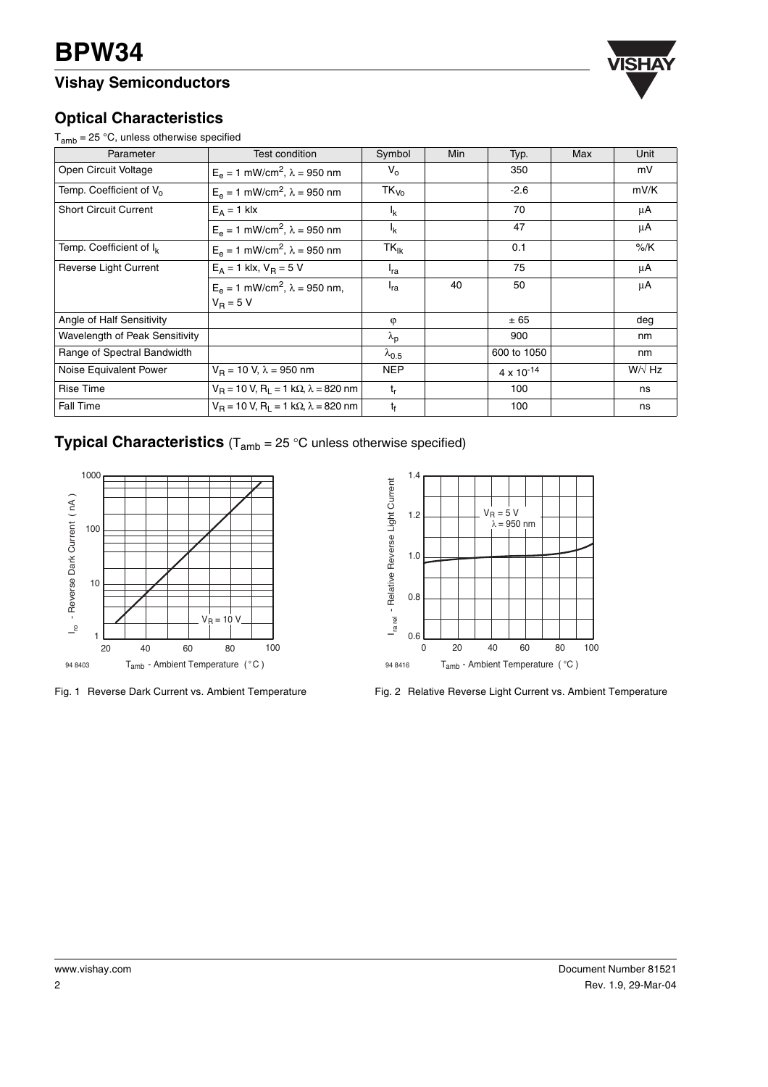### **Vishay Semiconductors**



#### **Optical Characteristics**

 $T_{amb}$  = 25 °C, unless otherwise specified

| Parameter                           | Test condition                                                    | Symbol            | Min | Typ.                | Max | Unit          |
|-------------------------------------|-------------------------------------------------------------------|-------------------|-----|---------------------|-----|---------------|
| Open Circuit Voltage                | $E_e = 1$ mW/cm <sup>2</sup> , $\lambda = 950$ nm                 | $V_{o}$           |     | 350                 |     | mV            |
| Temp. Coefficient of V <sub>o</sub> | $E_e = 1$ mW/cm <sup>2</sup> , $\lambda = 950$ nm                 | $TK_{V_0}$        |     | $-2.6$              |     | mV/K          |
| <b>Short Circuit Current</b>        | $E_A = 1$ klx                                                     | $I_{\rm K}$       |     | 70                  |     | μA            |
|                                     | $E_e = 1$ mW/cm <sup>2</sup> , $\lambda = 950$ nm                 | $I_{\rm K}$       |     | 47                  |     | μA            |
| Temp. Coefficient of I <sub>k</sub> | $E_e = 1$ mW/cm <sup>2</sup> , $\lambda = 950$ nm                 | $TK_{lk}$         |     | 0.1                 |     | $%$ /K        |
| Reverse Light Current               | $E_A = 1$ klx, $V_B = 5$ V                                        | <sup>I</sup> ra   |     | 75                  |     | μA            |
|                                     | $E_e = 1$ mW/cm <sup>2</sup> , $\lambda = 950$ nm,<br>$V_R = 5 V$ | $I_{ra}$          | 40  | 50                  |     | μA            |
| Angle of Half Sensitivity           |                                                                   | $\varphi$         |     | ± 65                |     | deg           |
| Wavelength of Peak Sensitivity      |                                                                   | $\lambda_{\rm p}$ |     | 900                 |     | nm            |
| Range of Spectral Bandwidth         |                                                                   | $\lambda_{0.5}$   |     | 600 to 1050         |     | nm            |
| Noise Equivalent Power              | $V_B$ = 10 V, $\lambda$ = 950 nm                                  | <b>NEP</b>        |     | $4 \times 10^{-14}$ |     | $W/\sqrt{Hz}$ |
| <b>Rise Time</b>                    | $V_B$ = 10 V, R <sub>1</sub> = 1 kΩ, $\lambda$ = 820 nm           | $t_{r}$           |     | 100                 |     | ns            |
| Fall Time                           | $V_B = 10 V$ , $R_1 = 1 k\Omega$ , $\lambda = 820$ nm             | $t_{\rm f}$       |     | 100                 |     | ns            |

#### **Typical Characteristics**  $(T_{amb} = 25 \degree C$  unless otherwise specified)



Fig. 1 Reverse Dark Current vs. Ambient Temperature



Fig. 2 Relative Reverse Light Current vs. Ambient Temperature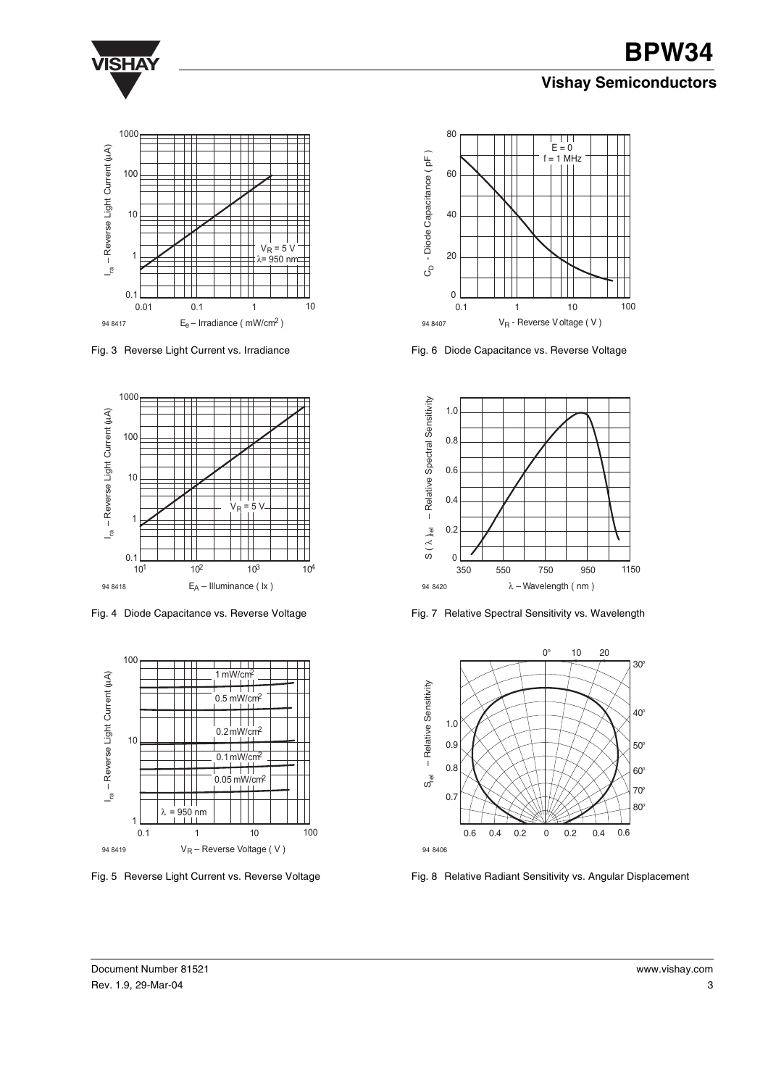

# **VISHAY BPW34 Vishay Semiconductors**



Fig. 3 Reverse Light Current vs. Irradiance



Fig. 4 Diode Capacitance vs. Reverse Voltage



Fig. 5 Reverse Light Current vs. Reverse Voltage



Fig. 6 Diode Capacitance vs. Reverse Voltage



Fig. 7 Relative Spectral Sensitivity vs. Wavelength



Fig. 8 Relative Radiant Sensitivity vs. Angular Displacement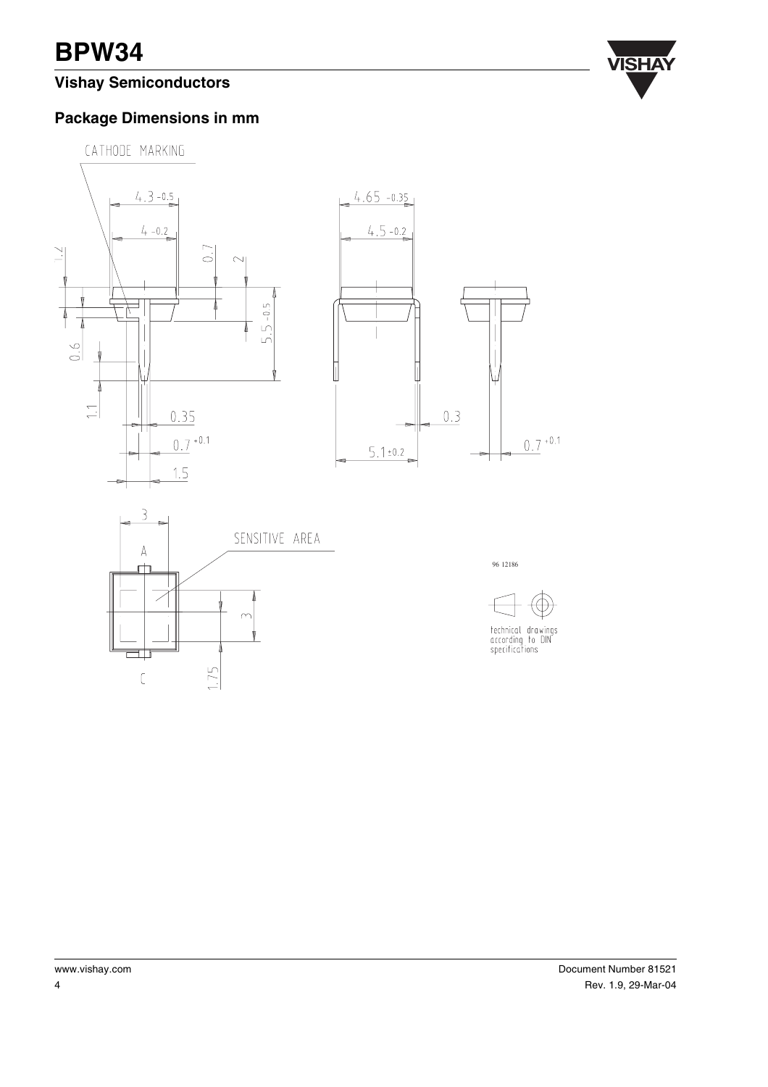# **VISHAY BPW34**

## **Vishay Semiconductors**



#### **Package Dimensions in mm**





96 12186



www.vishay.com